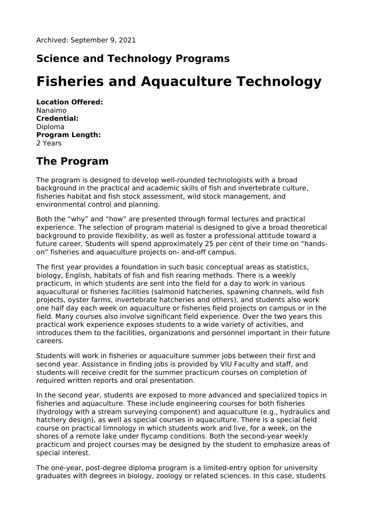## **Science and Technology Programs**

# **Fisheries and Aquaculture Technology**

**Location Offered:** Nanaimo **Credential:** Diploma **Program Length:** 2 Years

#### **The Program**

The program is designed to develop well-rounded technologists with a broad background in the practical and academic skills of fish and invertebrate culture, fisheries habitat and fish stock assessment, wild stock management, and environmental control and planning.

Both the "why" and "how" are presented through formal lectures and practical experience. The selection of program material is designed to give a broad theoretical background to provide flexibility, as well as foster a professional attitude toward a future career. Students will spend approximately 25 per cent of their time on "handson" fisheries and aquaculture projects on- and-off campus.

The first year provides a foundation in such basic conceptual areas as statistics, biology, English, habitats of fish and fish rearing methods. There is a weekly practicum, in which students are sent into the field for a day to work in various aquacultural or fisheries facilities (salmonid hatcheries, spawning channels, wild fish projects, oyster farms, invertebrate hatcheries and others), and students also work one half day each week on aquaculture or fisheries field projects on campus or in the field. Many courses also involve significant field experience. Over the two years this practical work experience exposes students to a wide variety of activities, and introduces them to the facilities, organizations and personnel important in their future careers.

Students will work in fisheries or aquaculture summer jobs between their first and second year. Assistance in finding jobs is provided by VIU Faculty and staff, and students will receive credit for the summer practicum courses on completion of required written reports and oral presentation.

In the second year, students are exposed to more advanced and specialized topics in fisheries and aquaculture. These include engineering courses for both fisheries (hydrology with a stream surveying component) and aquaculture (e.g., hydraulics and hatchery design), as well as special courses in aquaculture. There is a special field course on practical limnology in which students work and live, for a week, on the shores of a remote lake under flycamp conditions. Both the second-year weekly practicum and project courses may be designed by the student to emphasize areas of special interest.

The one-year, post-degree diploma program is a limited-entry option for university graduates with degrees in biology, zoology or related sciences. In this case, students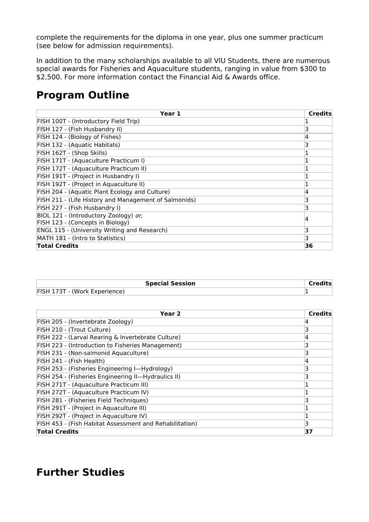complete the requirements for the diploma in one year, plus one summer practicum (see below for admission requirements).

In addition to the many scholarships available to all VIU Students, there are numerous special awards for Fisheries and Aquaculture students, ranging in value from \$300 to \$2,500. For more information contact the Financial Aid & Awards office.

### **Program Outline**

| Year 1                                                | <b>Credits</b> |
|-------------------------------------------------------|----------------|
| FISH 100T - (Introductory Field Trip)                 |                |
| FISH 127 - (Fish Husbandry II)                        | 3              |
| FISH 124 - (Biology of Fishes)                        | 4              |
| FISH 132 - (Aquatic Habitats)                         | 3              |
| FISH 162T - (Shop Skills)                             |                |
| FISH 171T - (Aquaculture Practicum I)                 |                |
| FISH 172T - (Aquaculture Practicum II)                |                |
| FISH 191T - (Project in Husbandry I)                  |                |
| FISH 192T - (Project in Aquaculture II)               |                |
| FISH 204 - (Aquatic Plant Ecology and Culture)        | 4              |
| FISH 211 - (Life History and Management of Salmonids) | 3              |
| FISH 227 - (Fish Husbandry I)                         | 3              |
| BIOL 121 - (Introductory Zoology) or,                 | 4              |
| FISH 123 - (Concepts in Biology)                      |                |
| <b>ENGL 115 - (University Writing and Research)</b>   | 3              |
| MATH 181 - (Intro to Statistics)                      | 3              |
| <b>Total Credits</b>                                  | 36             |

| <b>Special Session</b>           |  |
|----------------------------------|--|
| <b>FISH</b><br>(Work Experience) |  |

| Year 2                                                  | <b>Credits</b> |
|---------------------------------------------------------|----------------|
| FISH 205 - (Invertebrate Zoology)                       | 4              |
| FISH 210 - (Trout Culture)                              | 3              |
| FISH 222 - (Larval Rearing & Invertebrate Culture)      | 14             |
| FISH 223 - (Introduction to Fisheries Management)       | 3              |
| FISH 231 - (Non-salmonid Aquaculture)                   | 3              |
| FISH 241 - (Fish Health)                                | 4              |
| FISH 253 - (Fisheries Engineering I-Hydrology)          | 3              |
| FISH 254 - (Fisheries Engineering II-Hydraulics II)     | 3              |
| FISH 271T - (Aquaculture Practicum III)                 |                |
| FISH 272T - (Aquaculture Practicum IV)                  |                |
| FISH 281 - (Fisheries Field Techniques)                 | 3              |
| FISH 291T - (Project in Aquaculture III)                |                |
| FISH 292T - (Project in Aquaculture IV)                 |                |
| FISH 453 - (Fish Habitat Assessment and Rehabilitation) | 3              |
| <b>Total Credits</b>                                    | 37             |

#### **Further Studies**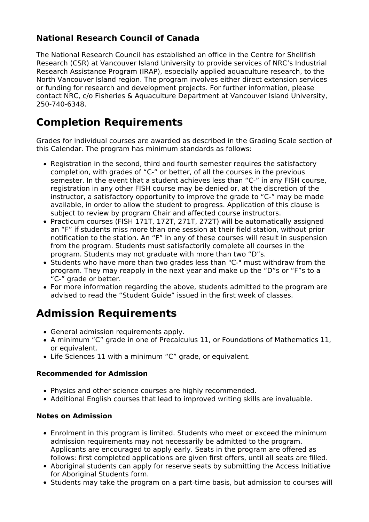#### **National Research Council of Canada**

The National Research Council has established an office in the Centre for Shellfish Research (CSR) at Vancouver Island University to provide services of NRC's Industrial Research Assistance Program (IRAP), especially applied aquaculture research, to the North Vancouver Island region. The program involves either direct extension services or funding for research and development projects. For further information, please contact NRC, c/o Fisheries & Aquaculture Department at Vancouver Island University, 250-740-6348.

#### **Completion Requirements**

Grades for individual courses are awarded as described in the Grading Scale section of this Calendar. The program has minimum standards as follows:

- Registration in the second, third and fourth semester requires the satisfactory completion, with grades of "C-" or better, of all the courses in the previous semester. In the event that a student achieves less than "C-" in any FISH course, registration in any other FISH course may be denied or, at the discretion of the instructor, a satisfactory opportunity to improve the grade to "C-" may be made available, in order to allow the student to progress. Application of this clause is subject to review by program Chair and affected course instructors.
- Practicum courses (FISH 171T, 172T, 271T, 272T) will be automatically assigned an "F" if students miss more than one session at their field station, without prior notification to the station. An "F" in any of these courses will result in suspension from the program. Students must satisfactorily complete all courses in the program. Students may not graduate with more than two "D"s.
- Students who have more than two grades less than "C-" must withdraw from the program. They may reapply in the next year and make up the "D"s or "F"s to a "C-" grade or better.
- For more information regarding the above, students admitted to the program are advised to read the "Student Guide" issued in the first week of classes.

### **Admission Requirements**

- General admission requirements apply.
- A minimum "C" grade in one of Precalculus 11, or Foundations of Mathematics 11, or equivalent.
- Life Sciences 11 with a minimum "C" grade, or equivalent.

#### **Recommended for Admission**

- Physics and other science courses are highly recommended.
- Additional English courses that lead to improved writing skills are invaluable.

#### **Notes on Admission**

- Enrolment in this program is limited. Students who meet or exceed the minimum admission requirements may not necessarily be admitted to the program. Applicants are encouraged to apply early. Seats in the program are offered as follows: first completed applications are given first offers, until all seats are filled.
- Aboriginal students can apply for reserve seats by submitting the Access Initiative for Aboriginal Students form.
- Students may take the program on a part-time basis, but admission to courses will